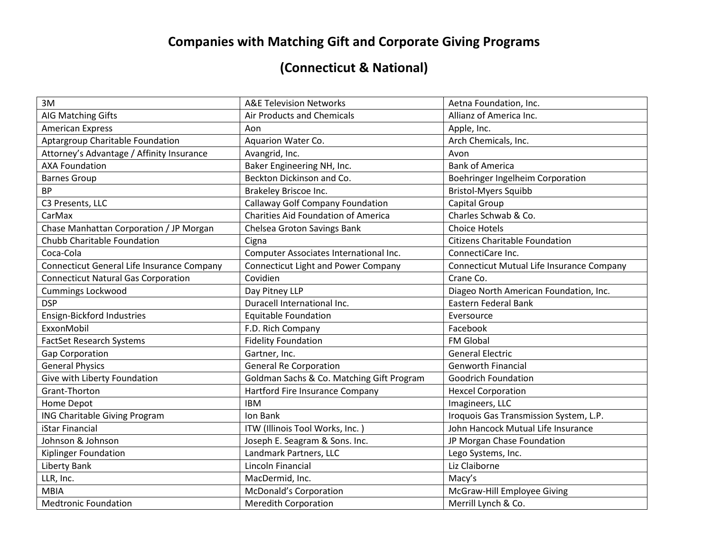## **Companies with Matching Gift and Corporate Giving Programs**

## **(Connecticut & National)**

| 3M                                         | <b>A&amp;E Television Networks</b>         | Aetna Foundation, Inc.                    |
|--------------------------------------------|--------------------------------------------|-------------------------------------------|
| AIG Matching Gifts                         | Air Products and Chemicals                 | Allianz of America Inc.                   |
| <b>American Express</b>                    | Aon                                        | Apple, Inc.                               |
| Aptargroup Charitable Foundation           | Aquarion Water Co.                         | Arch Chemicals, Inc.                      |
| Attorney's Advantage / Affinity Insurance  | Avangrid, Inc.                             | Avon                                      |
| <b>AXA Foundation</b>                      | Baker Engineering NH, Inc.                 | <b>Bank of America</b>                    |
| <b>Barnes Group</b>                        | Beckton Dickinson and Co.                  | Boehringer Ingelheim Corporation          |
| <b>BP</b>                                  | Brakeley Briscoe Inc.                      | <b>Bristol-Myers Squibb</b>               |
| C3 Presents, LLC                           | <b>Callaway Golf Company Foundation</b>    | Capital Group                             |
| CarMax                                     | <b>Charities Aid Foundation of America</b> | Charles Schwab & Co.                      |
| Chase Manhattan Corporation / JP Morgan    | Chelsea Groton Savings Bank                | <b>Choice Hotels</b>                      |
| Chubb Charitable Foundation                | Cigna                                      | <b>Citizens Charitable Foundation</b>     |
| Coca-Cola                                  | Computer Associates International Inc.     | ConnectiCare Inc.                         |
| Connecticut General Life Insurance Company | <b>Connecticut Light and Power Company</b> | Connecticut Mutual Life Insurance Company |
| <b>Connecticut Natural Gas Corporation</b> | Covidien                                   | Crane Co.                                 |
| <b>Cummings Lockwood</b>                   | Day Pitney LLP                             | Diageo North American Foundation, Inc.    |
| <b>DSP</b>                                 | Duracell International Inc.                | Eastern Federal Bank                      |
| Ensign-Bickford Industries                 | <b>Equitable Foundation</b>                | Eversource                                |
| ExxonMobil                                 | F.D. Rich Company                          | Facebook                                  |
| <b>FactSet Research Systems</b>            | <b>Fidelity Foundation</b>                 | FM Global                                 |
| Gap Corporation                            | Gartner, Inc.                              | <b>General Electric</b>                   |
| <b>General Physics</b>                     | <b>General Re Corporation</b>              | <b>Genworth Financial</b>                 |
| Give with Liberty Foundation               | Goldman Sachs & Co. Matching Gift Program  | <b>Goodrich Foundation</b>                |
| Grant-Thorton                              | Hartford Fire Insurance Company            | <b>Hexcel Corporation</b>                 |
| Home Depot                                 | <b>IBM</b>                                 | Imagineers, LLC                           |
| ING Charitable Giving Program              | Ion Bank                                   | Iroquois Gas Transmission System, L.P.    |
| iStar Financial                            | ITW (Illinois Tool Works, Inc.)            | John Hancock Mutual Life Insurance        |
| Johnson & Johnson                          | Joseph E. Seagram & Sons. Inc.             | JP Morgan Chase Foundation                |
| Kiplinger Foundation                       | Landmark Partners, LLC                     | Lego Systems, Inc.                        |
| <b>Liberty Bank</b>                        | Lincoln Financial                          | Liz Claiborne                             |
| LLR, Inc.                                  | MacDermid, Inc.                            | Macy's                                    |
| <b>MBIA</b>                                | McDonald's Corporation                     | McGraw-Hill Employee Giving               |
| <b>Medtronic Foundation</b>                | <b>Meredith Corporation</b>                | Merrill Lynch & Co.                       |